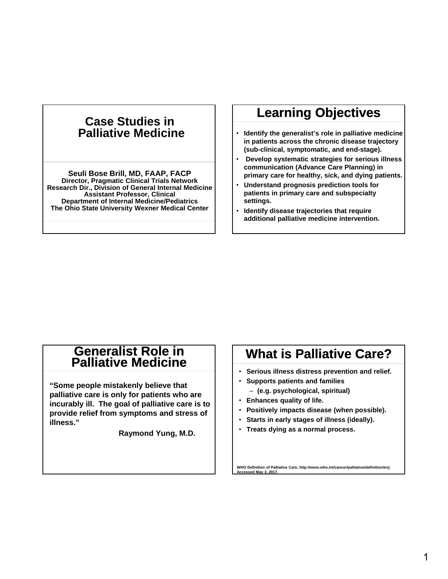### **Case Studies in Palliative Medicine**

**Seuli Bose Brill, MD, FAAP, FACP Director, Pragmatic Clinical Trials Network Research Dir., Division of General Internal Medicine Assistant Professor, Clinical Department of Internal Medicine/Pediatrics The Ohio State University Wexner Medical Center**

## **Learning Objectives**

- **Identify the generalist's role in palliative medicine in patients across the chronic disease trajectory (sub-clinical, symptomatic, and end-stage).**
- **Develop systematic strategies for serious illness communication (Advance Care Planning) in primary care for healthy, sick, and dying patients.**
- **Understand prognosis prediction tools for patients in primary care and subspecialty settings.**
- **Identify disease trajectories that require additional palliative medicine intervention.**

### **Generalist Role in Palliative Medicine**

**"Some people mistakenly believe that palliative care is only for patients who are incurably ill. The goal of palliative care is to provide relief from symptoms and stress of illness."**

**Raymond Yung, M.D.**

# **What is Palliative Care?**

- **Serious illness distress prevention and relief.**
- **Supports patients and families** 
	- ‒ **(e.g. psychological, spiritual)**
- **Enhances quality of life.**
- **Positively impacts disease (when possible).**
- **Starts in early stages of illness (ideally).**
- **Treats dying as a normal process.**

**WHO Definition of Palliative Care, http://www.who.int/cancer/palliative/definition/en/; Accessed May 3, 2017.**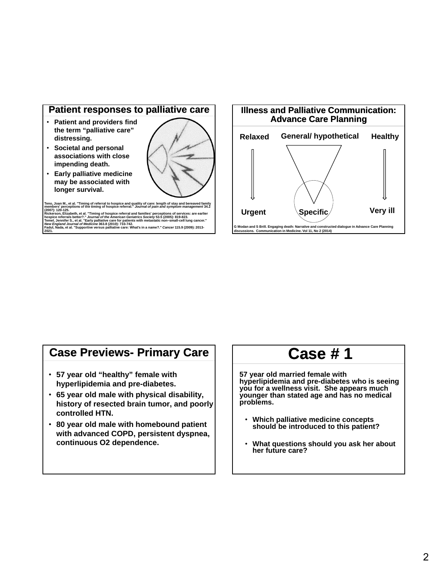

- **Patient and providers find the term "palliative care" distressing.**
- **Societal and personal associations with close impending death.**
- **Early palliative medicine may be associated with longer survival.**



Teno, Joan M., et al. "Timing of referral to hospice and quality of care: length of stay and bereaved family<br>members' perceptions of the timing of hospice referral." *Journal of pain and symptom management* 34.2

(2007): 120-125.<br>Rickerson, Elizabeth, et al. "Timing of hospice referral and families' perceptions of services: are earlier<br>hospice referrals better?." *Journal of the American Geriatrics Society* 53.5 (2005): 819-823.<br>Te



### **Case Previews- Primary Care**

- **57 year old "healthy" female with hyperlipidemia and pre-diabetes.**
- **65 year old male with physical disability, history of resected brain tumor, and poorly controlled HTN.**
- **80 year old male with homebound patient with advanced COPD, persistent dyspnea, continuous O2 dependence.**

# **Case # 1**

**57 year old married female with hyperlipidemia and pre-diabetes who is seeing you for a wellness visit. She appears much younger than stated age and has no medical problems.** 

- **Which palliative medicine concepts should be introduced to this patient?**
- **What questions should you ask her about her future care?**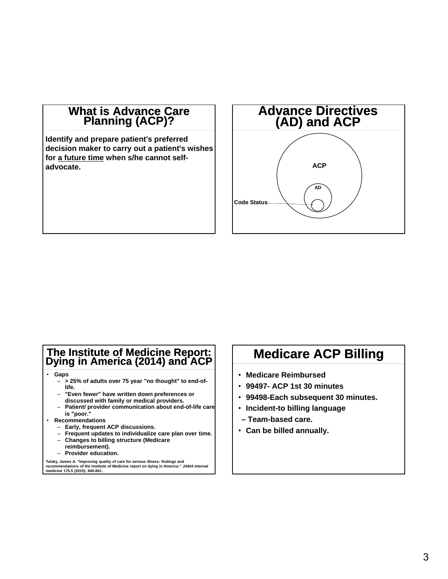### **What is Advance Care Planning (ACP)?**

**Identify and prepare patient's preferred decision maker to carry out a patient's wishes for a future time when s/he cannot selfadvocate.** 



### **The Institute of Medicine Report: Dying in America (2014) and ACP**

- **Gaps**
	- ‒ **> 25% of adults over 75 year "no thought" to end-oflife.**
	- ‒ **"Even fewer" have written down preferences or discussed with family or medical providers.**
	- ‒ **Patient/ provider communication about end-of-life care is "poor."**
- **Recommendations**
	- ‒ **Early, frequent ACP discussions.**
	- ‒ **Frequent updates to individualize care plan over time.**
	- ‒ **Changes to billing structure (Medicare**
	- **reimbursement).**
	- ‒ **Provider education.**

Tulsky, James A. "Improving quality of care for serious illness: findings and<br>recommendations of the Institute of Medicine report on dying in America." *JAMA internal*<br>*medicine* 175.5 (2015): 840-841.

# **Medicare ACP Billing**

- **Medicare Reimbursed**
- **99497- ACP 1st 30 minutes**
- **99498-Each subsequent 30 minutes.**
- **Incident-to billing language**
- **Team-based care.**
- **Can be billed annually.**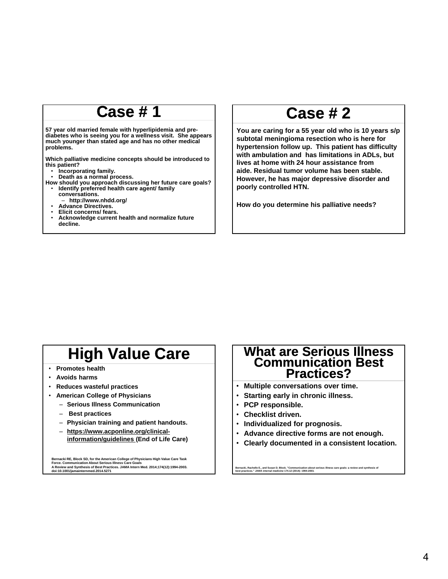# **Case # 1**

**57 year old married female with hyperlipidemia and prediabetes who is seeing you for a wellness visit. She appears much younger than stated age and has no other medical problems.** 

**Which palliative medicine concepts should be introduced to this patient?**

- **Incorporating family.**
- **Death as a normal process.**
- **How should you approach discussing her future care goals?** • **Identify preferred health care agent/ family** 
	- **conversations.** ‒ **http://www.nhdd.org/**
	- **Advance Directives.**
	- **Elicit concerns/ fears.**
	- **Acknowledge current health and normalize future decline.**

# **Case # 2**

**You are caring for a 55 year old who is 10 years s/p subtotal meningioma resection who is here for hypertension follow up. This patient has difficulty with ambulation and has limitations in ADLs, but lives at home with 24 hour assistance from aide. Residual tumor volume has been stable. However, he has major depressive disorder and poorly controlled HTN.** 

**How do you determine his palliative needs?**

# **High Value Care**

- **Promotes health**
- **Avoids harms**
- **Reduces wasteful practices**
- **American College of Physicians**
	- ‒ **Serious Illness Communication**
	- ‒ **Best practices**
	- ‒ **Physician training and patient handouts.**
	- ‒ **https://www.acponline.org/clinicalinformation/guidelines (End of Life Care)**

Bernacki RE, Block SD, for the American College of Physicians High Value Care Task<br>Force. Communication About Serious Illness Care Goals<br>A Review and Synthesis of Best Practices. JAMA Intern Med. 2014;174(12):1994-2003.<br>do

### **What are Serious Illness Communication Best Practices?**

- **Multiple conversations over time.**
- **Starting early in chronic illness.**
- **PCP responsible.**
- **Checklist driven.**
- **Individualized for prognosis.**
- **Advance directive forms are not enough.**
- **Clearly documented in a consistent location.**

**Bernacki, Rachelle E., and Susan D. Block. "Communication about serious illness care goals: a review and synthesis of best practices."** *JAMA internal medicine* **174.12 (2014): 1994-2003.**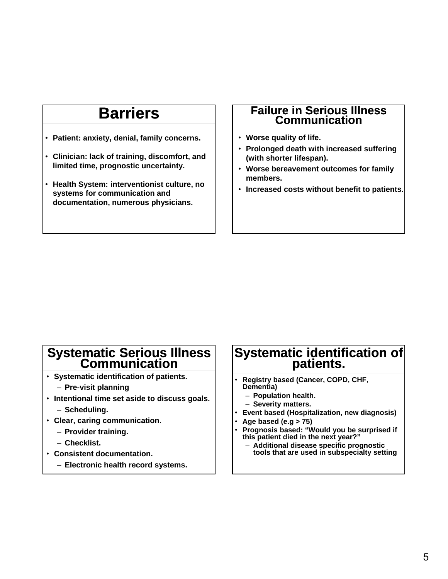# **Barriers**

- **Patient: anxiety, denial, family concerns.**
- **Clinician: lack of training, discomfort, and limited time, prognostic uncertainty.**
- **Health System: interventionist culture, no systems for communication and documentation, numerous physicians.**

### **Failure in Serious Illness Communication**

- **Worse quality of life.**
- **Prolonged death with increased suffering (with shorter lifespan).**
- **Worse bereavement outcomes for family members.**
- **Increased costs without benefit to patients.**

# **Systematic Serious Illness Communication**

- **Systematic identification of patients.**
	- ‒ **Pre-visit planning**
- **Intentional time set aside to discuss goals.** ‒ **Scheduling.**
- **Clear, caring communication.**
	- ‒ **Provider training.**
		- ‒ **Checklist.**
- **Consistent documentation.**
	- ‒ **Electronic health record systems.**

# **Systematic identification of patients.**

- **Registry based (Cancer, COPD, CHF, Dementia)**
	- ‒ **Population health.**
	- ‒ **Severity matters.**
- **Event based (Hospitalization, new diagnosis)**
- **Age based (e.g > 75)**
- **Prognosis based: "Would you be surprised if this patient died in the next year?"** 
	- ‒ **Additional disease specific prognostic tools that are used in subspecialty setting**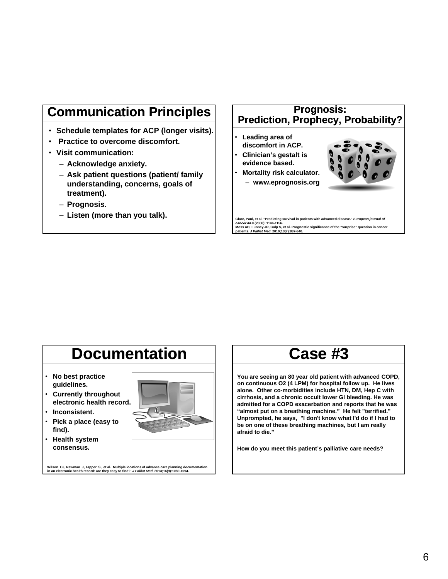# **Communication Principles**

- **Schedule templates for ACP (longer visits).**
- **Practice to overcome discomfort.**
- **Visit communication:**
	- ‒ **Acknowledge anxiety.**
	- ‒ **Ask patient questions (patient/ family understanding, concerns, goals of treatment).**
	- ‒ **Prognosis.**
	- ‒ **Listen (more than you talk).**

### **Prognosis: Prediction, Prophecy, Probability?**

- **Leading area of discomfort in ACP.**
- **Clinician's gestalt is evidence based.**
- **Mortality risk calculator.** ‒ **www.eprognosis.org**



Glare, Paul, et al. "Predicting survival in patients with advanced disease." *European journal of*<br>*cancer 4*4.8 (2008): 1146-1156.<br>Moss AH, Lunney JR, Culp S, et al. Prognostic significance of the "surprise" question in c

### **Documentation** • **No best practice guidelines.** • **Currently throughout electronic health record.** • **Inconsistent.** • **Pick a place (easy to find).** • **Health system consensus.**

# **Case #3**

**You are seeing an 80 year old patient with advanced COPD, on continuous O2 (4 LPM) for hospital follow up. He lives alone. Other co-morbidities include HTN, DM, Hep C with cirrhosis, and a chronic occult lower GI bleeding. He was admitted for a COPD exacerbation and reports that he was "almost put on a breathing machine." He felt "terrified." Unprompted, he says, "I don't know what I'd do if I had to be on one of these breathing machines, but I am really afraid to die."**

**How do you meet this patient's palliative care needs?**

**Wilson CJ, Newman J, Tapper S, et al. Multiple locations of advance care planning documentation in an electronic health record: are they easy to find?** *J Palliat Med***. 2013;16(9):1089-1094.**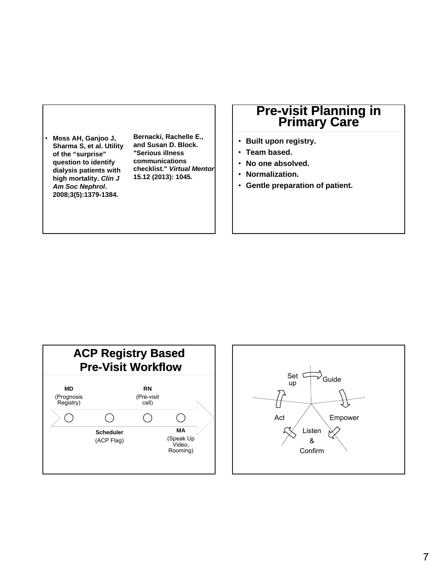• **Moss AH, Ganjoo J, Sharma S, et al. Utility of the "surprise" question to identify dialysis patients with high mortality.** *Clin J Am Soc Nephrol***. 2008;3(5):1379-1384.**

**Bernacki, Rachelle E., and Susan D. Block. "Serious illness communications checklist."** *Virtual Mentor* **15.12 (2013): 1045.**

# **Pre-visit Planning in Primary Care**

- **Built upon registry.**
- **Team based.**
- **No one absolved.**
- **Normalization.**
- **Gentle preparation of patient.**



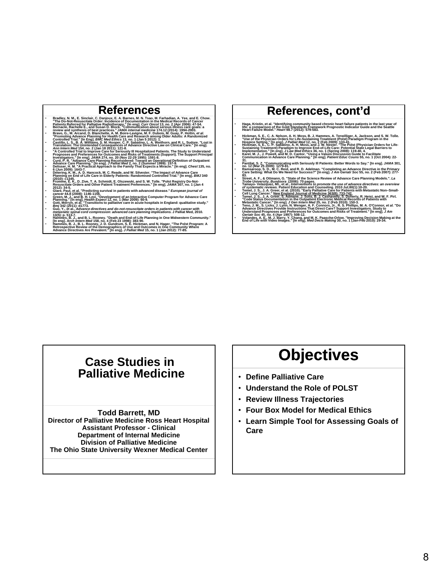### **References**

Fire Do-Not-Resuscitate Order: Incidence of Documentation in the Medician, A. Yee, and E. Chow.<br>The Do-Not-Resuscitate Order: Incidence of Documentation in the Medicial Records of Cancer<br>Pattents Referred for Palliative Ra **Controlled Trial." [In Eng].** *BMC Med Ethics* **13, no. 1 (Jan 5 2012): 1.** • **Castillo, L. S., B. A. Williams, S. M. Hooper, C. P. Sabatino, L. A. Weithorn, and R. L. Sudore. "Lost in**  Translation: The Unintended Consequences of Advance Directive Law on Clinical Care." [In engl.<br>
Ann Intern Med 154, no. 2 (Jan 18 2011): 121-8.<br>
"A controlled in Tail to improve Celle for Serborship and Tail the Controlled Planning on End of Life Care in Elderly Patients: Randomised Controlled Trial." [In eng]. *BMJ* 340<br>′ (2010): c1345.<br>↑ Fromme, E. K., D. Zive, T. A. Schmidt, E. Olszewski, and S. W. Tolle. "Polst Registry Do-Not-(2010): c134x.<br>
Fromme, E. K., D. Zive, T. A. Schmidt, E. Olszewski, and S. W. Tolle. "Polst Registry Do-Not-<br>
Respussible Order s and Other Patient Treatment Preferences: "[In eng]. J.MMA 307, no. 1 (Jan 4<br>
Respussible O Bim) 342 (2011): d1773.<br>Guo, Y., et al., Advance directives and do-not-resuscitate orders in patients with cancer with<br>metastatic spinal cord compression: advanced care planning implications. J Palliat Med, 2010.<br>13(5): p.

### **References, cont'd**

- Haga, Kristin, et al. "Identifying community based chronic heart failure patients in the last year of<br>life: a comparison of the Gold Standards Framework Prognostic Indicator Guide and the Seattle<br>Heart Failure Mode
- Hickman, S. E., C. A. Nelson, A. H. Moss, B. J. Hammes, A. Terwilliger, A. Jackson, and S. W. Tolle.<br>"Use of the Physician Orders for Life-Sustaining Treatment (Polst) Paradigm Program in the<br>• Hickman, S. E., C. P. Sa
- Sustaining Treatment) Paradigm to Improve End-of-Life Care: Potential State Legal Barriers to<br>Implementation." [In eng]. J Law Med Ethics 36, no. 1 (Spring 2008): 119-40, 4.<br>Karel, M. J., J. Powell, and M. D. Cantor. "Usin
- 
- 31.<br>Pantilat, S. Z. "Communicating with Seriously III Patients: Better Words to Say." [In eng]. JAMA 301,<br>Ramsaroop, S. D., M. C. Reid, and R. D. Adelman. "Completing an Advance Directive in the Primary<br>Ramsaroop, S. D., M
- Care Setting: What Do We Need for Success?" [In eng]. J Am Geriatr Soc 55, no. 2 (Feb 2007): 277<sup>2</sup><br>Street, A. F., & Ottmann, G. "State of the Science Review of Advance Care Planning Models." La<br>Trobe University, Bundoors
- 
- 
- 
- "Code Status Documentation in the Outpatient Electronic Médical Records of Patients with<br>"Metastatic Cancer." [In eng]. J Ge*n Intern Med* 25, no. 2 (Feb 2010): 150-3.<br>"Teno, J. M., S. Licks, J. Lynn, N. Wenger, A. F. Conn Understand Prognoses and Preferences for Outcomes and Risks of Treatment." [In eng]. *J Am*<br>G*eriatr* Soc 45, no. 4 (Apr 1997): 508-12.<br>• Volandes, A. E., M. J. Barry, Y. Chang, and M. K. Paasche-Orlow. "Improving Decision
- 

### **Case Studies in Palliative Medicine**

#### **Todd Barrett, MD**

**Director of Palliative Medicine Ross Heart Hospital Assistant Professor - Clinical Department of Internal Medicine Division of Palliative Medicine The Ohio State University Wexner Medical Center**

# **Objectives**

- **Define Palliative Care**
- **Understand the Role of POLST**
- **Review Illness Trajectories**
- **Four Box Model for Medical Ethics**
- **Learn Simple Tool for Assessing Goals of Care**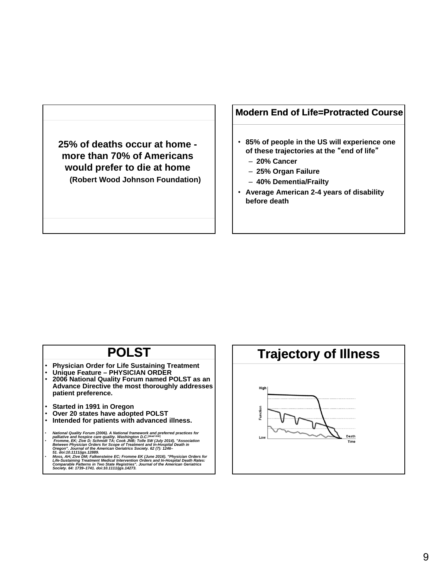**25% of deaths occur at home more than 70% of Americans would prefer to die at home (Robert Wood Johnson Foundation)**

### **Modern End of Life=Protracted Course**

- **85% of people in the US will experience one of these trajectories at the** "**end of life**"
	- ‒ **20% Cancer**
	- ‒ **25% Organ Failure**
	- ‒ **40% Dementia/Frailty**
- **Average American 2-4 years of disability before death**

### **POLST**

- **Physician Order for Life Sustaining Treatment**
- **Unique Feature PHYSICIAN ORDER** • **2006 National Quality Forum named POLST as an Advance Directive the most thoroughly addresses patient preference.**
- **Started in 1991 in Oregon**
- **Over 20 states have adopted POLST**
- **Intended for patients with advanced illness.**
- *National Quality Forum (2006). A National framework and preferred practices for palliative and hospice care quality. Washington D.C.***[***dead link***]** *Fromme, EK; Zive D; Schmidt TA; Cook JNB; Tolle SW (July 2014). "Association*
- Between Physician Orders for Scope of Treatment and In-Hospital Death in<br>Oregon". Journal of the American Geriatrics Society. 62 (7): 1246–<br>51. doi:10.1111/igs.12889.<br>Moss, AH; Zive DM; Falkensteine EC; Fromme EK (June 201

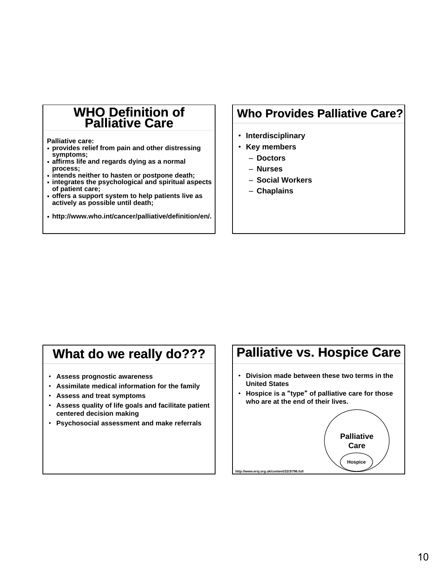### **WHO Definition of Palliative Care**

**Palliative care:**

- **provides relief from pain and other distressing symptoms;**
- **affirms life and regards dying as a normal process;**
- **intends neither to hasten or postpone death;**
- **integrates the psychological and spiritual aspects of patient care;**
- **offers a support system to help patients live as actively as possible until death;**
- **http://www.who.int/cancer/palliative/definition/en/.**

### **Who Provides Palliative Care?**

- **Interdisciplinary**
- **Key members**
	- ‒ **Doctors**
	- ‒ **Nurses**
	- ‒ **Social Workers**
	- ‒ **Chaplains**

# **What do we really do???**

- **Assess prognostic awareness**
- **Assimilate medical information for the family**
- **Assess and treat symptoms**
- **Assess quality of life goals and facilitate patient centered decision making**
- **Psychosocial assessment and make referrals**

# **Palliative vs. Hospice Care**

- **Division made between these two terms in the United States**
- **Hospice is a** "**type**" **of palliative care for those who are at the end of their lives.**

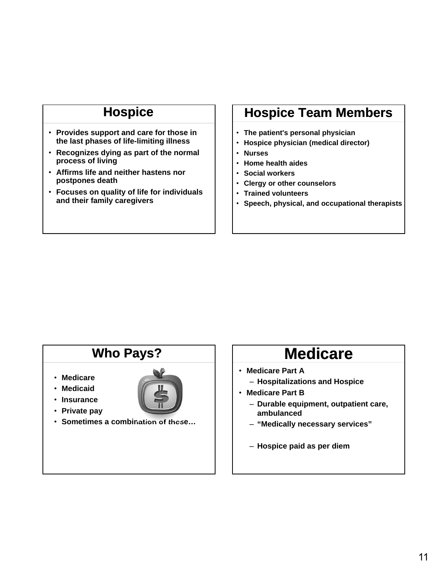# **Hospice**

- **Provides support and care for those in the last phases of life-limiting illness**
- **Recognizes dying as part of the normal process of living**
- **Affirms life and neither hastens nor postpones death**
- **Focuses on quality of life for individuals and their family caregivers**

## **Hospice Team Members**

- **The patient's personal physician**
- **Hospice physician (medical director)**
- **Nurses**
- **Home health aides**
- **Social workers**
- **Clergy or other counselors**
- **Trained volunteers**
- **Speech, physical, and occupational therapists**

## **Who Pays?**

- **Medicare**
- **Medicaid**
- **Insurance** 
	-
- **Private pay**
- **Sometimes a combination of these…**

# **Medicare**

- **Medicare Part A**
	- ‒ **Hospitalizations and Hospice**
- **Medicare Part B**
	- ‒ **Durable equipment, outpatient care, ambulanced**
	- ‒ **"Medically necessary services"**
	- ‒ **Hospice paid as per diem**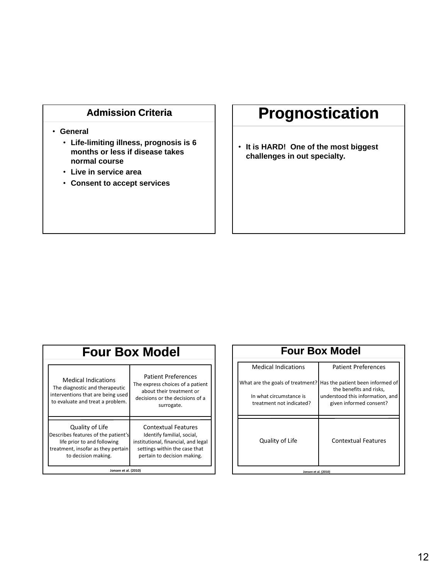### **Admission Criteria**

#### • **General**

- **Life-limiting illness, prognosis is 6 months or less if disease takes normal course**
- **Live in service area**
- **Consent to accept services**

# **Prognostication**

• **It is HARD! One of the most biggest challenges in out specialty.**

#### **Four Box Model** Medical Indications The diagnostic and therapeutic interventions that are being used to evaluate and treat a problem. Patient Preferences The express choices of a patient about their treatment or decisions or the decisions of a surrogate. Quality of Life Describes features of the patient's life prior to and following treatment, insofar as they pertain to decision making. Contextual Features Identify familial, social, institutional, financial, and legal settings within the case that pertain to decision making. **Jonsen et al. (2010)**

| <b>Four Box Model</b>                                                                   |                                                                                                                            |
|-----------------------------------------------------------------------------------------|----------------------------------------------------------------------------------------------------------------------------|
| <b>Medical Indications</b>                                                              | <b>Patient Preferences</b>                                                                                                 |
| What are the goals of treatment?<br>In what circumstance is<br>treatment not indicated? | Has the patient been informed of<br>the benefits and risks,<br>understood this information, and<br>given informed consent? |
| Quality of Life                                                                         | <b>Contextual Features</b>                                                                                                 |
| Jonsen et al. (2010)                                                                    |                                                                                                                            |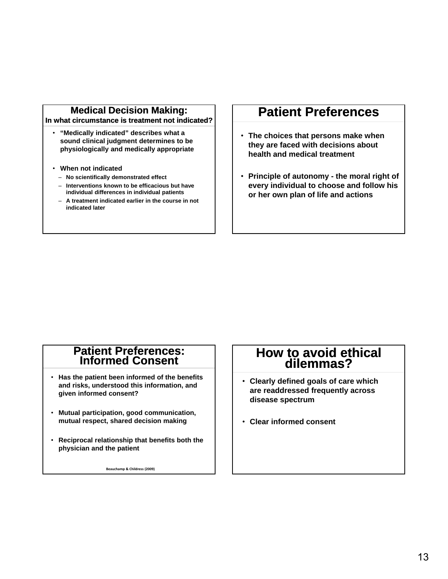### **Medical Decision Making:**

**In what circumstance is treatment not indicated?**

- **"Medically indicated" describes what a sound clinical judgment determines to be physiologically and medically appropriate**
- **When not indicated**
	- ‒ **No scientifically demonstrated effect**
	- ‒ **Interventions known to be efficacious but have individual differences in individual patients**
	- ‒ **A treatment indicated earlier in the course in not indicated later**

### **Patient Preferences**

- **The choices that persons make when they are faced with decisions about health and medical treatment**
- **Principle of autonomy the moral right of every individual to choose and follow his or her own plan of life and actions**

### **Patient Preferences: Informed Consent**

- **Has the patient been informed of the benefits and risks, understood this information, and given informed consent?**
- **Mutual participation, good communication, mutual respect, shared decision making**
- **Reciprocal relationship that benefits both the physician and the patient**

**Beauchamp & Childress (2009)**

### **How to avoid ethical dilemmas?**

- **Clearly defined goals of care which are readdressed frequently across disease spectrum**
- **Clear informed consent**